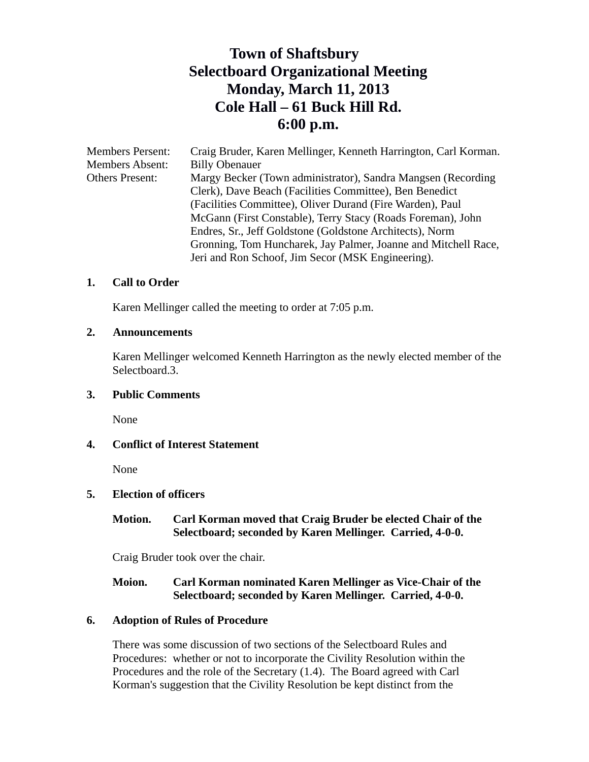# **Town of Shaftsbury Selectboard Organizational Meeting Monday, March 11, 2013 Cole Hall – 61 Buck Hill Rd. 6:00 p.m.**

| Craig Bruder, Karen Mellinger, Kenneth Harrington, Carl Korman. |
|-----------------------------------------------------------------|
| <b>Billy Obenauer</b>                                           |
| Margy Becker (Town administrator), Sandra Mangsen (Recording)   |
| Clerk), Dave Beach (Facilities Committee), Ben Benedict         |
| (Facilities Committee), Oliver Durand (Fire Warden), Paul       |
| McGann (First Constable), Terry Stacy (Roads Foreman), John     |
| Endres, Sr., Jeff Goldstone (Goldstone Architects), Norm        |
| Gronning, Tom Huncharek, Jay Palmer, Joanne and Mitchell Race,  |
| Jeri and Ron Schoof, Jim Secor (MSK Engineering).               |
|                                                                 |

# **1. Call to Order**

Karen Mellinger called the meeting to order at 7:05 p.m.

#### **2. Announcements**

Karen Mellinger welcomed Kenneth Harrington as the newly elected member of the Selectboard.3.

# **3. Public Comments**

None

# **4. Conflict of Interest Statement**

None

# **5. Election of officers**

# **Motion. Carl Korman moved that Craig Bruder be elected Chair of the Selectboard; seconded by Karen Mellinger. Carried, 4-0-0.**

Craig Bruder took over the chair.

# **Moion. Carl Korman nominated Karen Mellinger as Vice-Chair of the Selectboard; seconded by Karen Mellinger. Carried, 4-0-0.**

# **6. Adoption of Rules of Procedure**

There was some discussion of two sections of the Selectboard Rules and Procedures: whether or not to incorporate the Civility Resolution within the Procedures and the role of the Secretary (1.4). The Board agreed with Carl Korman's suggestion that the Civility Resolution be kept distinct from the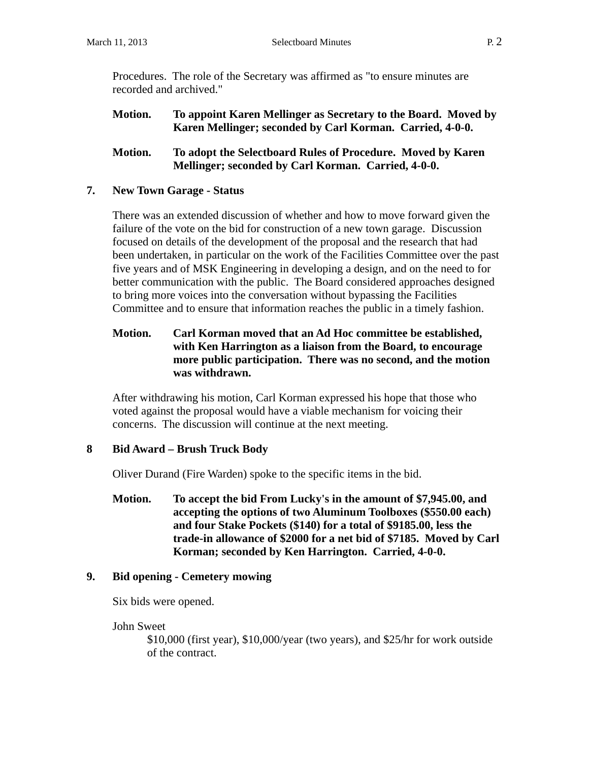Procedures. The role of the Secretary was affirmed as "to ensure minutes are recorded and archived."

**Motion. To appoint Karen Mellinger as Secretary to the Board. Moved by Karen Mellinger; seconded by Carl Korman. Carried, 4-0-0.**

# **Motion. To adopt the Selectboard Rules of Procedure. Moved by Karen Mellinger; seconded by Carl Korman. Carried, 4-0-0.**

# **7. New Town Garage - Status**

There was an extended discussion of whether and how to move forward given the failure of the vote on the bid for construction of a new town garage. Discussion focused on details of the development of the proposal and the research that had been undertaken, in particular on the work of the Facilities Committee over the past five years and of MSK Engineering in developing a design, and on the need to for better communication with the public. The Board considered approaches designed to bring more voices into the conversation without bypassing the Facilities Committee and to ensure that information reaches the public in a timely fashion.

# **Motion. Carl Korman moved that an Ad Hoc committee be established, with Ken Harrington as a liaison from the Board, to encourage more public participation. There was no second, and the motion was withdrawn.**

After withdrawing his motion, Carl Korman expressed his hope that those who voted against the proposal would have a viable mechanism for voicing their concerns. The discussion will continue at the next meeting.

# **8 Bid Award – Brush Truck Body**

Oliver Durand (Fire Warden) spoke to the specific items in the bid.

**Motion. To accept the bid From Lucky's in the amount of \$7,945.00, and accepting the options of two Aluminum Toolboxes (\$550.00 each) and four Stake Pockets (\$140) for a total of \$9185.00, less the trade-in allowance of \$2000 for a net bid of \$7185. Moved by Carl Korman; seconded by Ken Harrington. Carried, 4-0-0.**

# **9. Bid opening - Cemetery mowing**

Six bids were opened.

John Sweet

\$10,000 (first year), \$10,000/year (two years), and \$25/hr for work outside of the contract.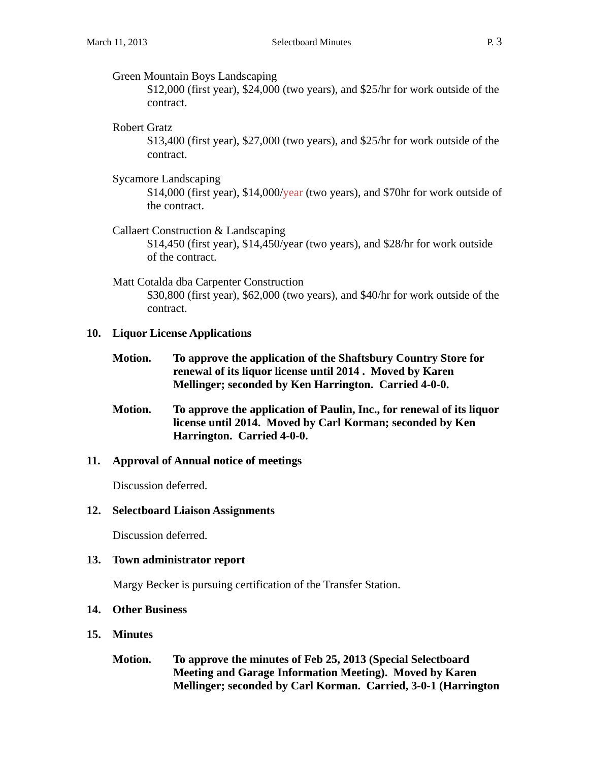#### Green Mountain Boys Landscaping

\$12,000 (first year), \$24,000 (two years), and \$25/hr for work outside of the contract.

#### Robert Gratz

\$13,400 (first year), \$27,000 (two years), and \$25/hr for work outside of the contract.

Sycamore Landscaping

\$14,000 (first year), \$14,000/year (two years), and \$70hr for work outside of the contract.

# Callaert Construction & Landscaping

\$14,450 (first year), \$14,450/year (two years), and \$28/hr for work outside of the contract.

#### Matt Cotalda dba Carpenter Construction

\$30,800 (first year), \$62,000 (two years), and \$40/hr for work outside of the contract.

#### **10. Liquor License Applications**

- **Motion. To approve the application of the Shaftsbury Country Store for renewal of its liquor license until 2014 . Moved by Karen Mellinger; seconded by Ken Harrington. Carried 4-0-0.**
- **Motion. To approve the application of Paulin, Inc., for renewal of its liquor license until 2014. Moved by Carl Korman; seconded by Ken Harrington. Carried 4-0-0.**

# **11. Approval of Annual notice of meetings**

Discussion deferred.

#### **12. Selectboard Liaison Assignments**

Discussion deferred.

# **13. Town administrator report**

Margy Becker is pursuing certification of the Transfer Station.

## **14. Other Business**

- **15. Minutes**
	- **Motion. To approve the minutes of Feb 25, 2013 (Special Selectboard Meeting and Garage Information Meeting). Moved by Karen Mellinger; seconded by Carl Korman. Carried, 3-0-1 (Harrington**